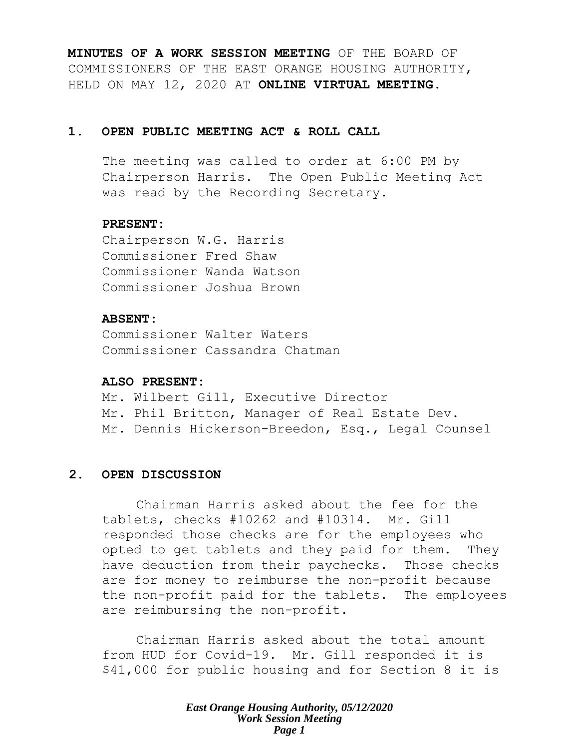**MINUTES OF A WORK SESSION MEETING** OF THE BOARD OF COMMISSIONERS OF THE EAST ORANGE HOUSING AUTHORITY, HELD ON MAY 12, 2020 AT **ONLINE VIRTUAL MEETING**.

# **1. OPEN PUBLIC MEETING ACT & ROLL CALL**

The meeting was called to order at 6:00 PM by Chairperson Harris. The Open Public Meeting Act was read by the Recording Secretary.

# **PRESENT:**

Chairperson W.G. Harris Commissioner Fred Shaw Commissioner Wanda Watson Commissioner Joshua Brown

# **ABSENT:**

Commissioner Walter Waters Commissioner Cassandra Chatman

# **ALSO PRESENT:**

Mr. Wilbert Gill, Executive Director Mr. Phil Britton, Manager of Real Estate Dev. Mr. Dennis Hickerson-Breedon, Esq., Legal Counsel

# **2. OPEN DISCUSSION**

Chairman Harris asked about the fee for the tablets, checks #10262 and #10314. Mr. Gill responded those checks are for the employees who opted to get tablets and they paid for them. They have deduction from their paychecks. Those checks are for money to reimburse the non-profit because the non-profit paid for the tablets. The employees are reimbursing the non-profit.

Chairman Harris asked about the total amount from HUD for Covid-19. Mr. Gill responded it is \$41,000 for public housing and for Section 8 it is

> *East Orange Housing Authority, 05/12/2020 Work Session Meeting Page 1*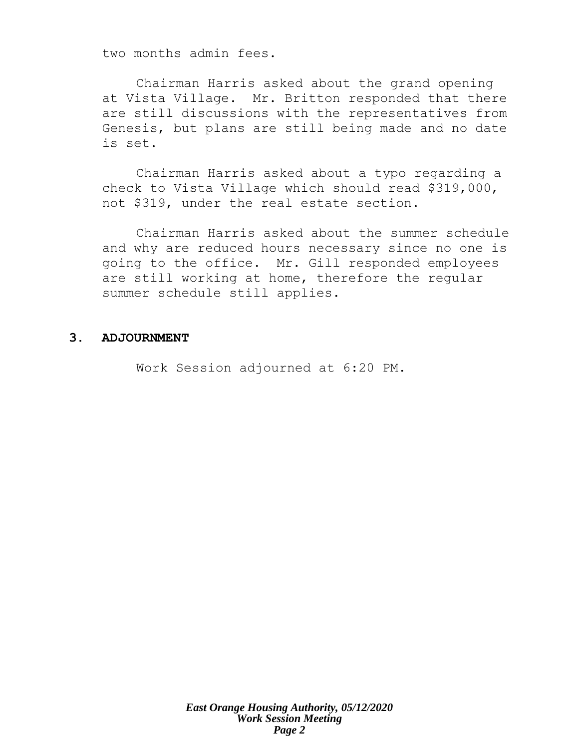two months admin fees.

Chairman Harris asked about the grand opening at Vista Village. Mr. Britton responded that there are still discussions with the representatives from Genesis, but plans are still being made and no date is set.

Chairman Harris asked about a typo regarding a check to Vista Village which should read \$319,000, not \$319, under the real estate section.

Chairman Harris asked about the summer schedule and why are reduced hours necessary since no one is going to the office. Mr. Gill responded employees are still working at home, therefore the regular summer schedule still applies.

#### **3. ADJOURNMENT**

Work Session adjourned at 6:20 PM.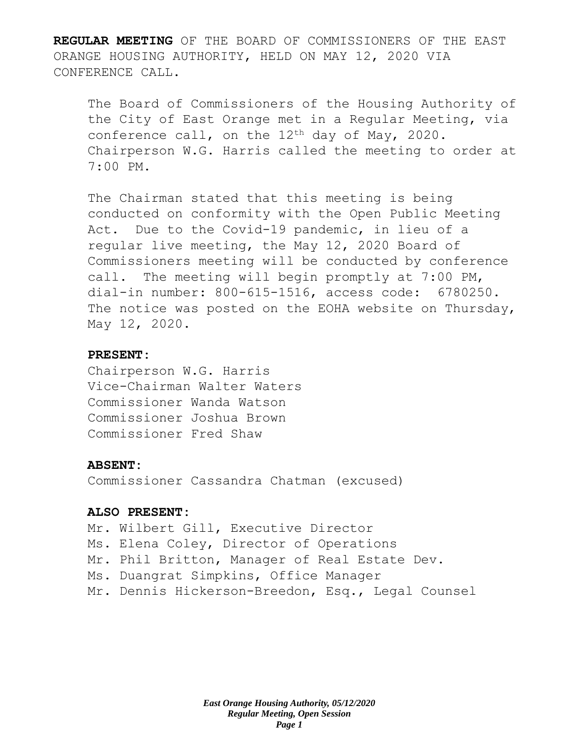**REGULAR MEETING** OF THE BOARD OF COMMISSIONERS OF THE EAST ORANGE HOUSING AUTHORITY, HELD ON MAY 12, 2020 VIA CONFERENCE CALL.

The Board of Commissioners of the Housing Authority of the City of East Orange met in a Regular Meeting, via conference call, on the  $12<sup>th</sup>$  day of May, 2020. Chairperson W.G. Harris called the meeting to order at 7:00 PM.

The Chairman stated that this meeting is being conducted on conformity with the Open Public Meeting Act. Due to the Covid-19 pandemic, in lieu of a regular live meeting, the May 12, 2020 Board of Commissioners meeting will be conducted by conference call. The meeting will begin promptly at 7:00 PM, dial-in number: 800-615-1516, access code: 6780250. The notice was posted on the EOHA website on Thursday, May 12, 2020.

# **PRESENT:**

Chairperson W.G. Harris Vice-Chairman Walter Waters Commissioner Wanda Watson Commissioner Joshua Brown Commissioner Fred Shaw

#### **ABSENT:**

Commissioner Cassandra Chatman (excused)

#### **ALSO PRESENT:**

Mr. Wilbert Gill, Executive Director Ms. Elena Coley, Director of Operations Mr. Phil Britton, Manager of Real Estate Dev. Ms. Duangrat Simpkins, Office Manager Mr. Dennis Hickerson-Breedon, Esq., Legal Counsel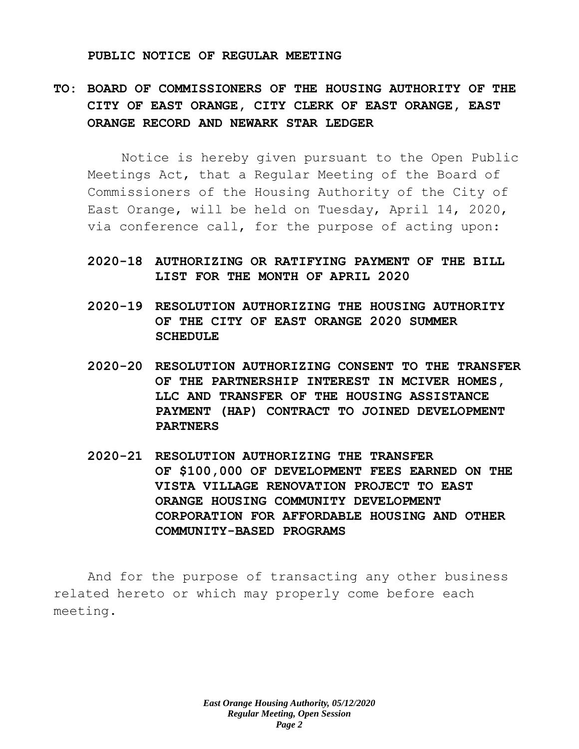#### **PUBLIC NOTICE OF REGULAR MEETING**

# **TO: BOARD OF COMMISSIONERS OF THE HOUSING AUTHORITY OF THE CITY OF EAST ORANGE, CITY CLERK OF EAST ORANGE, EAST ORANGE RECORD AND NEWARK STAR LEDGER**

Notice is hereby given pursuant to the Open Public Meetings Act, that a Regular Meeting of the Board of Commissioners of the Housing Authority of the City of East Orange, will be held on Tuesday, April 14, 2020, via conference call, for the purpose of acting upon:

# **2020-18 AUTHORIZING OR RATIFYING PAYMENT OF THE BILL LIST FOR THE MONTH OF APRIL 2020**

- **2020-19 RESOLUTION AUTHORIZING THE HOUSING AUTHORITY OF THE CITY OF EAST ORANGE 2020 SUMMER SCHEDULE**
- **2020-20 RESOLUTION AUTHORIZING CONSENT TO THE TRANSFER OF THE PARTNERSHIP INTEREST IN MCIVER HOMES, LLC AND TRANSFER OF THE HOUSING ASSISTANCE PAYMENT (HAP) CONTRACT TO JOINED DEVELOPMENT PARTNERS**
- **2020-21 RESOLUTION AUTHORIZING THE TRANSFER OF \$100,000 OF DEVELOPMENT FEES EARNED ON THE VISTA VILLAGE RENOVATION PROJECT TO EAST ORANGE HOUSING COMMUNITY DEVELOPMENT CORPORATION FOR AFFORDABLE HOUSING AND OTHER COMMUNITY-BASED PROGRAMS**

And for the purpose of transacting any other business related hereto or which may properly come before each meeting.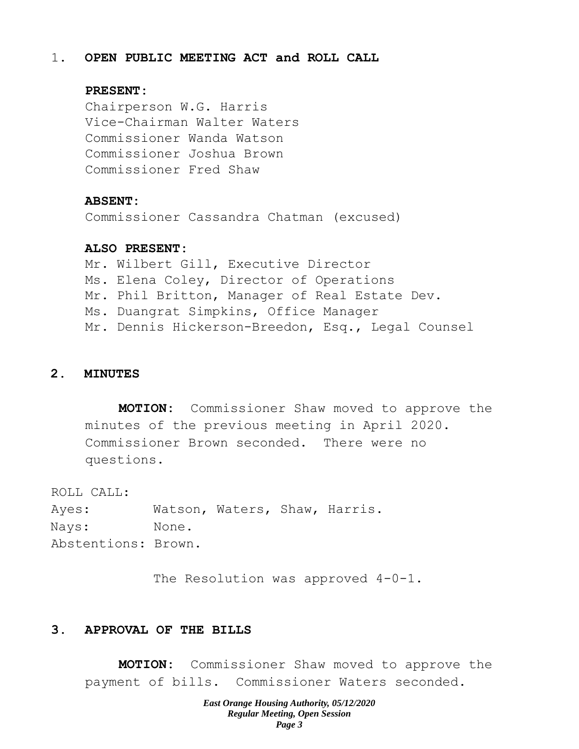# 1. **OPEN PUBLIC MEETING ACT and ROLL CALL**

## **PRESENT:**

Chairperson W.G. Harris Vice-Chairman Walter Waters Commissioner Wanda Watson Commissioner Joshua Brown Commissioner Fred Shaw

#### **ABSENT:**

Commissioner Cassandra Chatman (excused)

#### **ALSO PRESENT:**

Mr. Wilbert Gill, Executive Director Ms. Elena Coley, Director of Operations Mr. Phil Britton, Manager of Real Estate Dev. Ms. Duangrat Simpkins, Office Manager Mr. Dennis Hickerson-Breedon, Esq., Legal Counsel

# **2. MINUTES**

**MOTION:** Commissioner Shaw moved to approve the minutes of the previous meeting in April 2020. Commissioner Brown seconded. There were no questions.

ROLL CALL:

Ayes: Watson, Waters, Shaw, Harris. Nays: None. Abstentions: Brown.

The Resolution was approved  $4-0-1$ .

# **3. APPROVAL OF THE BILLS**

**MOTION:** Commissioner Shaw moved to approve the payment of bills. Commissioner Waters seconded.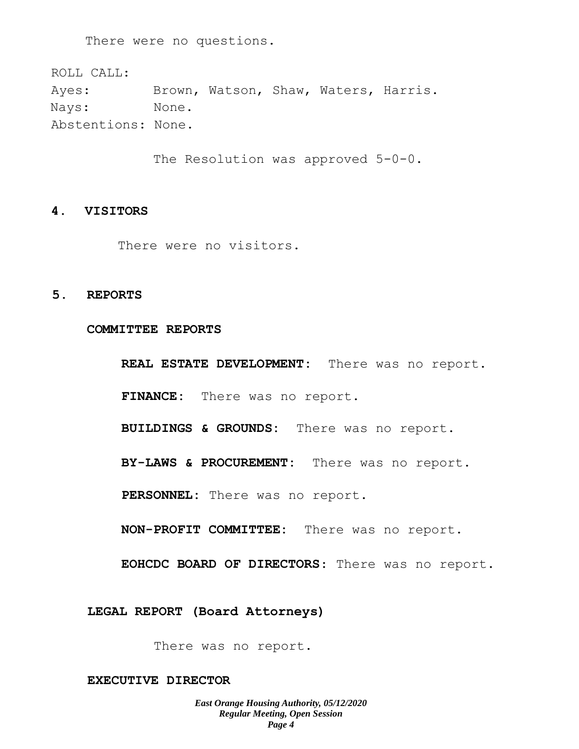There were no questions.

ROLL CALL: Ayes: Brown, Watson, Shaw, Waters, Harris. Nays: None. Abstentions: None.

The Resolution was approved 5-0-0.

#### **4. VISITORS**

There were no visitors.

# **5. REPORTS**

#### **COMMITTEE REPORTS**

**REAL ESTATE DEVELOPMENT:** There was no report. **FINANCE:** There was no report.

**BUILDINGS & GROUNDS:** There was no report.

**BY-LAWS & PROCUREMENT:** There was no report.

**PERSONNEL:** There was no report.

**NON-PROFIT COMMITTEE:** There was no report.

**EOHCDC BOARD OF DIRECTORS**: There was no report.

**LEGAL REPORT (Board Attorneys)**

There was no report.

#### **EXECUTIVE DIRECTOR**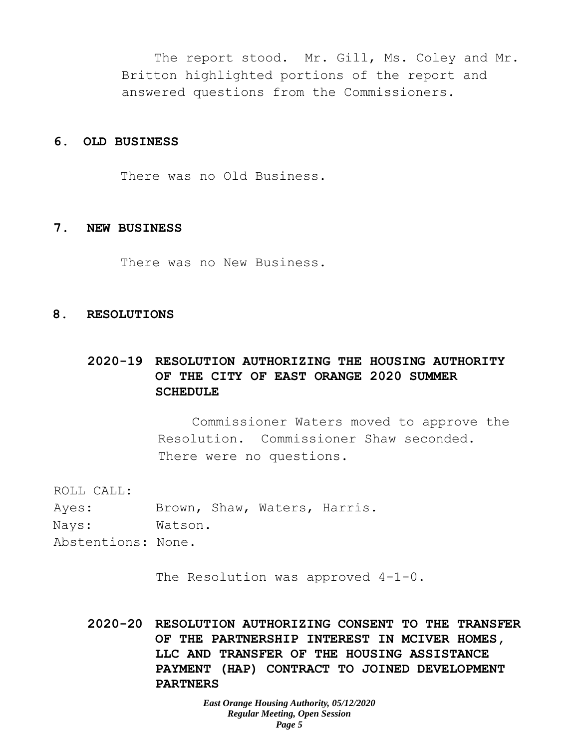The report stood. Mr. Gill, Ms. Coley and Mr. Britton highlighted portions of the report and answered questions from the Commissioners.

### **6. OLD BUSINESS**

There was no Old Business.

#### **7. NEW BUSINESS**

There was no New Business.

## **8. RESOLUTIONS**

# **2020-19 RESOLUTION AUTHORIZING THE HOUSING AUTHORITY OF THE CITY OF EAST ORANGE 2020 SUMMER SCHEDULE**

Commissioner Waters moved to approve the Resolution. Commissioner Shaw seconded. There were no questions.

ROLL CALL:

| Ayes:              |         |  | Brown, Shaw, Waters, Harris. |  |
|--------------------|---------|--|------------------------------|--|
| Nays:              | Watson. |  |                              |  |
| Abstentions: None. |         |  |                              |  |

The Resolution was approved  $4-1-0$ .

**2020-20 RESOLUTION AUTHORIZING CONSENT TO THE TRANSFER OF THE PARTNERSHIP INTEREST IN MCIVER HOMES, LLC AND TRANSFER OF THE HOUSING ASSISTANCE PAYMENT (HAP) CONTRACT TO JOINED DEVELOPMENT PARTNERS**